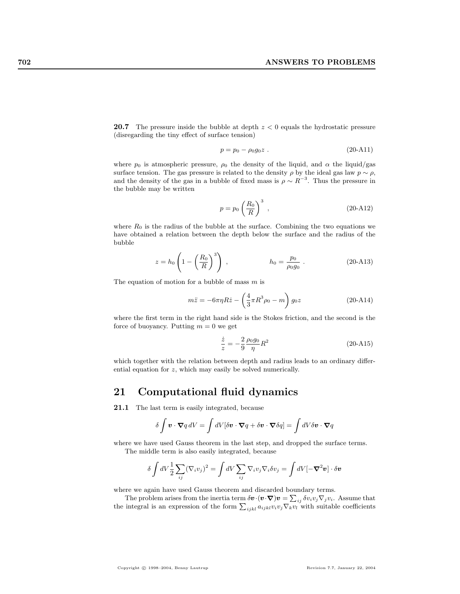**20.7** The pressure inside the bubble at depth  $z < 0$  equals the hydrostatic pressure (disregarding the tiny effect of surface tension)

$$
p = p_0 - \rho_0 g_0 z \tag{20-A11}
$$

where  $p_0$  is atmospheric pressure,  $\rho_0$  the density of the liquid, and  $\alpha$  the liquid/gas surface tension. The gas pressure is related to the density  $\rho$  by the ideal gas law  $p \sim \rho$ , and the density of the gas in a bubble of fixed mass is  $\rho \sim R^{-3}$ . Thus the pressure in the bubble may be written

$$
p = p_0 \left(\frac{R_0}{R}\right)^3 \tag{20-A12}
$$

where  $R_0$  is the radius of the bubble at the surface. Combining the two equations we have obtained a relation between the depth below the surface and the radius of the bubble

$$
z = h_0 \left( 1 - \left( \frac{R_0}{R} \right)^3 \right) , \qquad h_0 = \frac{p_0}{\rho_0 g_0} . \qquad (20\text{-}A13)
$$

The equation of motion for a bubble of mass  $m$  is

$$
m\ddot{z} = -6\pi\eta R\dot{z} - \left(\frac{4}{3}\pi R^3 \rho_0 - m\right) g_0 z \tag{20-A14}
$$

where the first term in the right hand side is the Stokes friction, and the second is the force of buoyancy. Putting  $m = 0$  we get

$$
\frac{\dot{z}}{z} = -\frac{2}{9} \frac{\rho_0 g_0}{\eta} R^2 \tag{20-A15}
$$

which together with the relation between depth and radius leads to an ordinary differential equation for z, which may easily be solved numerically.

## 21 Computational fluid dynamics

21.1 The last term is easily integrated, because

$$
\delta \int \mathbf{v} \cdot \nabla q \, dV = \int dV [\delta \mathbf{v} \cdot \nabla q + \delta \mathbf{v} \cdot \nabla \delta q] = \int dV \delta \mathbf{v} \cdot \nabla q
$$

where we have used Gauss theorem in the last step, and dropped the surface terms. The middle term is also easily integrated, because

$$
\delta \int dV \frac{1}{2} \sum_{ij} (\nabla_i v_j)^2 = \int dV \sum_{ij} \nabla_i v_j \nabla_i \delta v_j = \int dV [-\nabla^2 v] \cdot \delta v
$$

where we again have used Gauss theorem and discarded boundary terms.

The problem arises from the inertia term  $\delta v \cdot (v \cdot \nabla) v = \sum_{ij} \delta v_i v_j \nabla_j v_i$ . Assume that the integral is an expression of the form  $\sum_{ijkl} a_{ijkl} v_i v_j \nabla_k v_l$  with suitable coefficients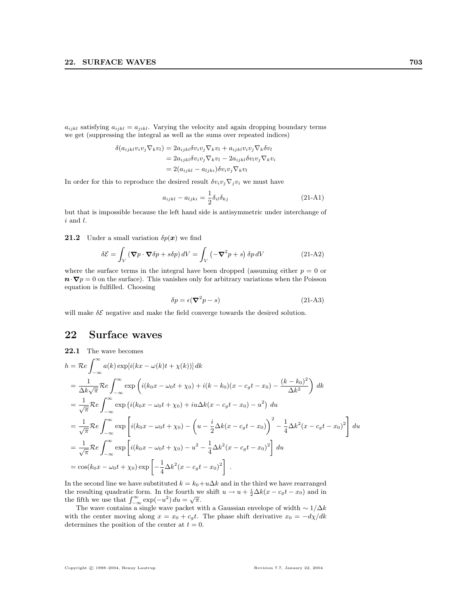$a_{ijkl}$  satisfying  $a_{ijkl} = a_{jikl}$ . Varying the velocity and again dropping boundary terms we get (suppressing the integral as well as the sums over repeated indices)

$$
\delta(a_{ijkl}v_iv_j \nabla_k v_l) = 2a_{ijkl}\delta v_iv_j \nabla_k v_l + a_{ijkl}v_iv_j \nabla_k \delta v_l
$$
  
=  $2a_{ijkl}\delta v_iv_j \nabla_k v_l - 2a_{ijkl}\delta v_iv_j \nabla_k v_i$   
=  $2(a_{ijkl} - a_{ljkl})\delta v_iv_j \nabla_k v_l$ 

In order for this to reproduce the desired result  $\delta v_i v_j \nabla_j v_i$  we must have

$$
a_{ijkl} - a_{ljki} = \frac{1}{2} \delta_{il} \delta_{kj}
$$
 (21-A1)

but that is impossible because the left hand side is antisymmetric under interchange of  $i$  and  $l$ .

**21.2** Under a small variation  $\delta p(x)$  we find

$$
\delta \mathcal{E} = \int_{V} \left( \mathbf{\nabla} p \cdot \mathbf{\nabla} \delta p + s \delta p \right) dV = \int_{V} \left( -\mathbf{\nabla}^2 p + s \right) \delta p \, dV \tag{21-A2}
$$

where the surface terms in the integral have been dropped (assuming either  $p = 0$  or  $\mathbf{n} \cdot \nabla p = 0$  on the surface). This vanishes only for arbitrary variations when the Poisson equation is fulfilled. Choosing

$$
\delta p = \epsilon (\nabla^2 p - s) \tag{21-A3}
$$

will make  $\delta \mathcal{E}$  negative and make the field converge towards the desired solution.

## 22 Surface waves

22.1 The wave becomes  
\n
$$
h = \mathcal{R}e \int_{-\infty}^{\infty} a(k) \exp[i(kx - \omega(k)t + \chi(k))] dk
$$
\n
$$
= \frac{1}{\Delta k \sqrt{\pi}} \mathcal{R}e \int_{-\infty}^{\infty} \exp\left(i(k_0x - \omega_0t + \chi_0) + i(k - k_0)(x - c_gt - x_0) - \frac{(k - k_0)^2}{\Delta k^2}\right) dk
$$
\n
$$
= \frac{1}{\sqrt{\pi}} \mathcal{R}e \int_{-\infty}^{\infty} \exp\left(i(k_0x - \omega_0t + \chi_0) + i\omega\Delta k(x - c_gt - x_0) - u^2\right) du
$$
\n
$$
= \frac{1}{\sqrt{\pi}} \mathcal{R}e \int_{-\infty}^{\infty} \exp\left[i(k_0x - \omega_0t + \chi_0) - \left(u - \frac{i}{2}\Delta k(x - c_gt - x_0)\right)^2 - \frac{1}{4}\Delta k^2(x - c_gt - x_0)^2\right] du
$$
\n
$$
= \frac{1}{\sqrt{\pi}} \mathcal{R}e \int_{-\infty}^{\infty} \exp\left[i(k_0x - \omega_0t + \chi_0) - u^2 - \frac{1}{4}\Delta k^2(x - c_gt - x_0)^2\right] du
$$
\n
$$
= \cos(k_0x - \omega_0t + \chi_0) \exp\left[-\frac{1}{4}\Delta k^2(x - c_gt - x_0)^2\right].
$$

In the second line we have substituted  $k = k_0 + u\Delta k$  and in the third we have rearranged the resulting quadratic form. In the fourth we shift  $u \to u + \frac{i}{2}\Delta k(x - c_g t - x_0)$  and in the fifth we use that  $\int_{-\infty}^{\infty} \exp(-u^2) du = \sqrt{\pi}$ .

The wave contains a single wave packet with a Gaussian envelope of width  $\sim 1/\Delta k$ with the center moving along  $x = x_0 + c_q t$ . The phase shift derivative  $x_0 = -\frac{dy}{dt}$ determines the position of the center at  $t = 0$ .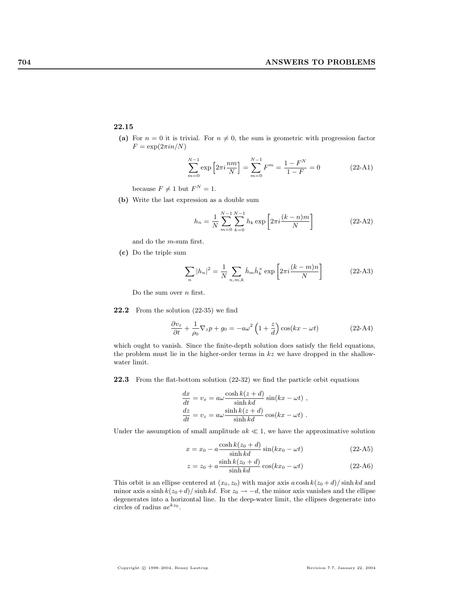## 22.15

(a) For  $n = 0$  it is trivial. For  $n \neq 0$ , the sum is geometric with progression factor  $F = \exp(2\pi i n/N)$ 

$$
\sum_{m=0}^{N-1} \exp\left[2\pi i \frac{nm}{N}\right] = \sum_{m=0}^{N-1} F^m = \frac{1 - F^N}{1 - F} = 0 \tag{22-A1}
$$

because  $F \neq 1$  but  $F^N = 1$ .

(b) Write the last expression as a double sum

$$
h_n = \frac{1}{N} \sum_{m=0}^{N-1} \sum_{k=0}^{N-1} h_k \exp\left[2\pi i \frac{(k-n)m}{N}\right]
$$
 (22-A2)

and do the m-sum first.

(c) Do the triple sum

$$
\sum_{n} |h_n|^2 = \frac{1}{N} \sum_{n,m,k} \hat{h}_m \hat{h}_k^\times \exp\left[2\pi i \frac{(k-m)n}{N}\right]
$$
 (22-A3)

Do the sum over  $n$  first.

22.2 From the solution (22-35) we find

$$
\frac{\partial v_z}{\partial t} + \frac{1}{\rho_0} \nabla_z p + g_0 = -a\omega^2 \left( 1 + \frac{z}{d} \right) \cos(kx - \omega t)
$$
 (22-A4)

which ought to vanish. Since the finite-depth solution does satisfy the field equations, the problem must lie in the higher-order terms in  $kz$  we have dropped in the shallowwater limit.

22.3 From the flat-bottom solution (22-32) we find the particle orbit equations

$$
\frac{dx}{dt} = v_x = a\omega \frac{\cosh k(z+d)}{\sinh kd} \sin(kx - \omega t) ,
$$

$$
\frac{dz}{dt} = v_z = a\omega \frac{\sinh k(z+d)}{\sinh kd} \cos(kx - \omega t) .
$$

Under the assumption of small amplitude  $ak \ll 1$ , we have the approximative solution

$$
x = x_0 - a \frac{\cosh k(z_0 + d)}{\sinh kd} \sin(kx_0 - \omega t)
$$
 (22-A5)

$$
z = z_0 + a \frac{\sinh k(z_0 + d)}{\sinh kd} \cos(kx_0 - \omega t)
$$
 (22-A6)

This orbit is an ellipse centered at  $(x_0, z_0)$  with major axis  $a \cosh k(z_0 + d) / \sinh kd$  and minor axis a sinh  $k(z_0+d)/\sinh kd$ . For  $z_0 \to -d$ , the minor axis vanishes and the ellipse degenerates into a horizontal line. In the deep-water limit, the ellipses degenerate into circles of radius  $ae^{kz_0}$ .